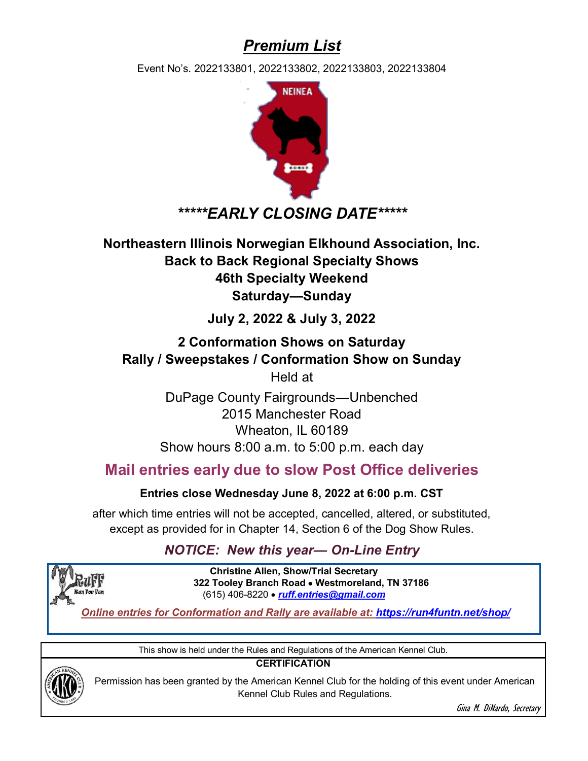## *Premium List*

Event No's. 2022133801, 2022133802, 2022133803, 2022133804



### *\*\*\*\*\*EARLY CLOSING DATE\*\*\*\*\**

**Northeastern Illinois Norwegian Elkhound Association, Inc. Back to Back Regional Specialty Shows 46th Specialty Weekend Saturday—Sunday**

### **July 2, 2022 & July 3, 2022**

## **2 Conformation Shows on Saturday Rally / Sweepstakes / Conformation Show on Sunday**

Held at

DuPage County Fairgrounds—Unbenched 2015 Manchester Road Wheaton, IL 60189 Show hours 8:00 a.m. to 5:00 p.m. each day

### **Mail entries early due to slow Post Office deliveries**

#### **Entries close Wednesday June 8, 2022 at 6:00 p.m. CST**

after which time entries will not be accepted, cancelled, altered, or substituted, except as provided for in Chapter 14, Section 6 of the Dog Show Rules.

### *NOTICE: New this year— On-Line Entry*



**Christine Allen, Show/Trial Secretary 322 Tooley Branch Road** • **Westmoreland, TN 37186** (615) 406-8220 • *ruff.entries@gmail.com*

*Online entries for Conformation and Rally are available at: https://run4funtn.net/shop/*

This show is held under the Rules and Regulations of the American Kennel Club.

**CERTIFICATION**



Permission has been granted by the American Kennel Club for the holding of this event under American Kennel Club Rules and Regulations.

Gina M. DiNardo, Secretary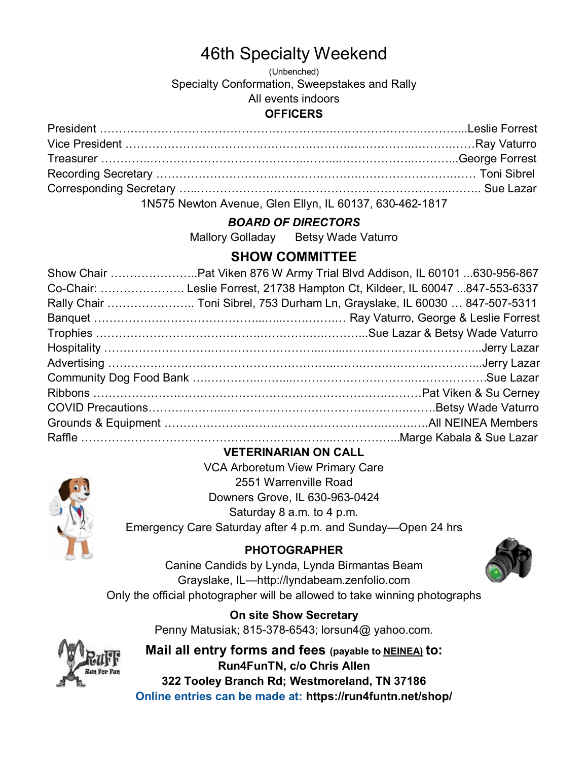# 46th Specialty Weekend

(Unbenched) Specialty Conformation, Sweepstakes and Rally All events indoors **OFFICERS**

### President …………………………………………………….….………………..………...Leslie Forrest Vice President ………………………………………….……….……………..……….……Ray Vaturro Treasurer ………….…………………………………..……...………………..………...George Forrest Recording Secretary ………………………….………………….…………………….…… Toni Sibrel Corresponding Secretary …..……………………………………….………………...…….. Sue Lazar

1N575 Newton Avenue, Glen Ellyn, IL 60137, 630-462-1817

#### *BOARD OF DIRECTORS*

Mallory Golladay Betsy Wade Vaturro

### **SHOW COMMITTEE**

| Co-Chair:  Leslie Forrest, 21738 Hampton Ct, Kildeer, IL 60047 847-553-6337 |
|-----------------------------------------------------------------------------|
| Rally Chair  Toni Sibrel, 753 Durham Ln, Grayslake, IL 60030  847-507-5311  |
|                                                                             |
|                                                                             |
|                                                                             |
|                                                                             |
|                                                                             |
|                                                                             |
|                                                                             |
|                                                                             |
|                                                                             |

#### **VETERINARIAN ON CALL**

VCA Arboretum View Primary Care 2551 Warrenville Road Downers Grove, IL 630-963-0424 Saturday 8 a.m. to 4 p.m. Emergency Care Saturday after 4 p.m. and Sunday—Open 24 hrs

#### **PHOTOGRAPHER**



Canine Candids by Lynda, Lynda Birmantas Beam Grayslake, IL—http://lyndabeam.zenfolio.com Only the official photographer will be allowed to take winning photographs

> **On site Show Secretary** Penny Matusiak; 815-378-6543; lorsun4@ yahoo.com.

**Mail all entry forms and fees (payable to NEINEA) to: Run4FunTN, c/o Chris Allen 322 Tooley Branch Rd; Westmoreland, TN 37186 Online entries can be made at: https://run4funtn.net/shop/**

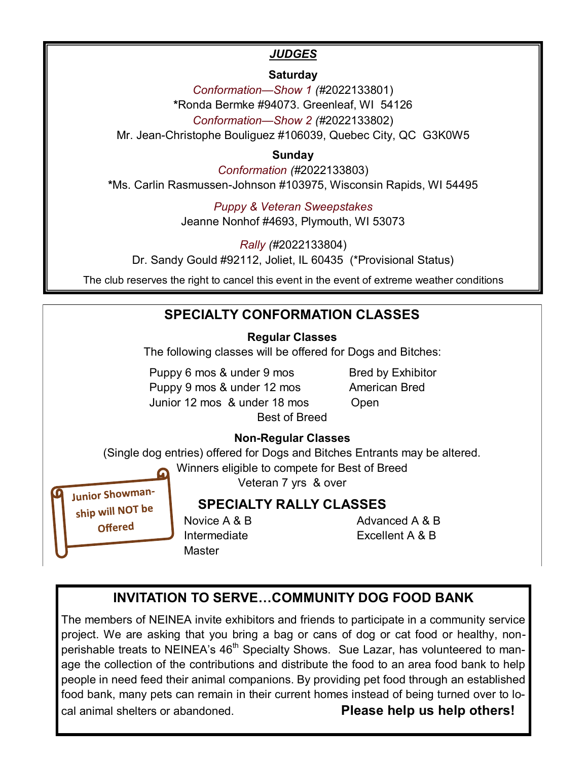#### *JUDGES*

#### **Saturday**

*Conformation—Show 1 (#*2022133801) **\***Ronda Bermke #94073. Greenleaf, WI 54126 *Conformation—Show 2 (#*2022133802) Mr. Jean-Christophe Bouliguez #106039, Quebec City, QC G3K0W5

#### **Sunday**

*Conformation (#*2022133803) **\***Ms. Carlin Rasmussen-Johnson #103975, Wisconsin Rapids, WI 54495

> *Puppy & Veteran Sweepstakes* Jeanne Nonhof #4693, Plymouth, WI 53073

*Rally (#*2022133804) Dr. Sandy Gould #92112, Joliet, IL 60435 (\*Provisional Status)

The club reserves the right to cancel this event in the event of extreme weather conditions

#### **SPECIALTY CONFORMATION CLASSES Regular Classes** The following classes will be offered for Dogs and Bitches: Puppy 6 mos & under 9 mos Bred by Exhibitor Puppy 9 mos & under 12 mos American Bred Junior 12 mos & under 18 mos Open Best of Breed **Non-Regular Classes**  (Single dog entries) offered for Dogs and Bitches Entrants may be altered. Winners eligible to compete for Best of Breed Veteran 7 yrs & over **Junior Showman-SPECIALTY RALLY CLASSES** ship will NOT be Novice A & B Advanced A & B **Offered** Intermediate Excellent A & B

### **INVITATION TO SERVE…COMMUNITY DOG FOOD BANK**

Master

The members of NEINEA invite exhibitors and friends to participate in a community service project. We are asking that you bring a bag or cans of dog or cat food or healthy, nonperishable treats to NEINEA's 46<sup>th</sup> Specialty Shows. Sue Lazar, has volunteered to manage the collection of the contributions and distribute the food to an area food bank to help people in need feed their animal companions. By providing pet food through an established food bank, many pets can remain in their current homes instead of being turned over to local animal shelters or abandoned. **Please help us help others!**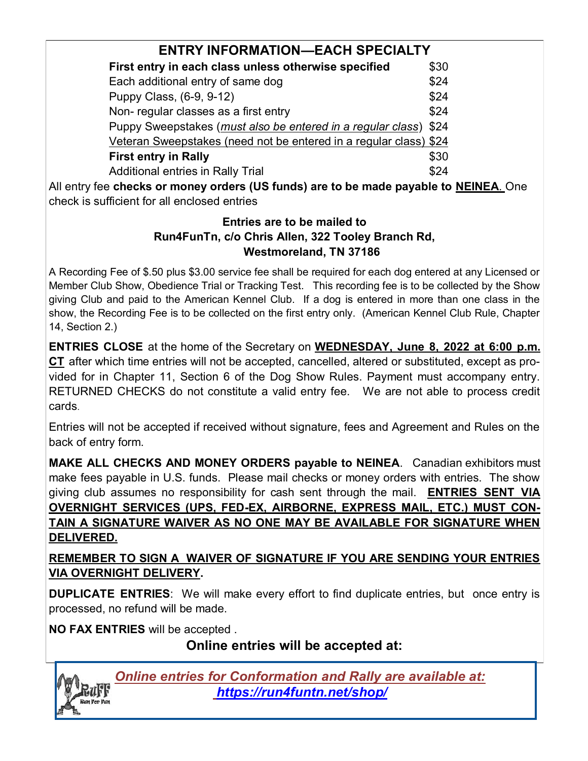| <b>ENTRY INFORMATION—EACH SPECIALTY</b>                              |      |  |
|----------------------------------------------------------------------|------|--|
| First entry in each class unless otherwise specified                 | \$30 |  |
| Each additional entry of same dog                                    | \$24 |  |
| Puppy Class, (6-9, 9-12)                                             | \$24 |  |
| Non-regular classes as a first entry                                 | \$24 |  |
| Puppy Sweepstakes ( <i>must also be entered in a regular class</i> ) | \$24 |  |
| Veteran Sweepstakes (need not be entered in a regular class) \$24    |      |  |
| <b>First entry in Rally</b>                                          | \$30 |  |
| <b>Additional entries in Rally Trial</b>                             | ፍ24  |  |

All entry fee **checks or money orders (US funds) are to be made payable to NEINEA**. One check is sufficient for all enclosed entries

#### **Entries are to be mailed to Run4FunTn, c/o Chris Allen, 322 Tooley Branch Rd, Westmoreland, TN 37186**

A Recording Fee of \$.50 plus \$3.00 service fee shall be required for each dog entered at any Licensed or Member Club Show, Obedience Trial or Tracking Test. This recording fee is to be collected by the Show giving Club and paid to the American Kennel Club. If a dog is entered in more than one class in the show, the Recording Fee is to be collected on the first entry only. (American Kennel Club Rule, Chapter 14, Section 2.)

**ENTRIES CLOSE** at the home of the Secretary on **WEDNESDAY, June 8, 2022 at 6:00 p.m. CT** after which time entries will not be accepted, cancelled, altered or substituted, except as provided for in Chapter 11, Section 6 of the Dog Show Rules. Payment must accompany entry. RETURNED CHECKS do not constitute a valid entry fee. We are not able to process credit cards.

Entries will not be accepted if received without signature, fees and Agreement and Rules on the back of entry form.

**MAKE ALL CHECKS AND MONEY ORDERS payable to NEINEA**. Canadian exhibitors must make fees payable in U.S. funds. Please mail checks or money orders with entries. The show giving club assumes no responsibility for cash sent through the mail. **ENTRIES SENT VIA OVERNIGHT SERVICES (UPS, FED-EX, AIRBORNE, EXPRESS MAIL, ETC.) MUST CON-TAIN A SIGNATURE WAIVER AS NO ONE MAY BE AVAILABLE FOR SIGNATURE WHEN DELIVERED.** 

**REMEMBER TO SIGN A WAIVER OF SIGNATURE IF YOU ARE SENDING YOUR ENTRIES VIA OVERNIGHT DELIVERY.** 

**DUPLICATE ENTRIES**: We will make every effort to find duplicate entries, but once entry is processed, no refund will be made.

**NO FAX ENTRIES** will be accepted .

**Online entries will be accepted at:**



*Online entries for Conformation and Rally are available at: https://run4funtn.net/shop/*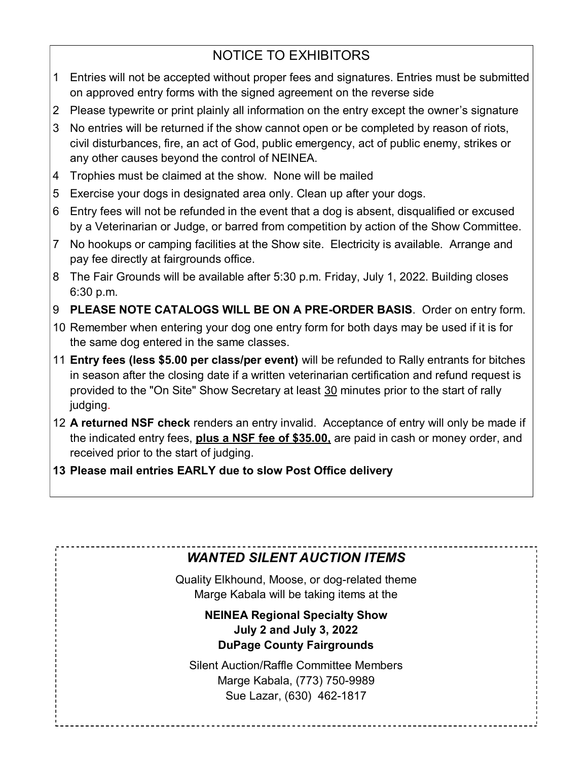### NOTICE TO EXHIBITORS

- 1 Entries will not be accepted without proper fees and signatures. Entries must be submitted on approved entry forms with the signed agreement on the reverse side
- 2 Please typewrite or print plainly all information on the entry except the owner's signature
- 3 No entries will be returned if the show cannot open or be completed by reason of riots, civil disturbances, fire, an act of God, public emergency, act of public enemy, strikes or any other causes beyond the control of NEINEA.
- 4 Trophies must be claimed at the show. None will be mailed
- 5 Exercise your dogs in designated area only. Clean up after your dogs.
- 6 Entry fees will not be refunded in the event that a dog is absent, disqualified or excused by a Veterinarian or Judge, or barred from competition by action of the Show Committee.
- 7 No hookups or camping facilities at the Show site. Electricity is available. Arrange and pay fee directly at fairgrounds office.
- 8 The Fair Grounds will be available after 5:30 p.m. Friday, July 1, 2022. Building closes 6:30 p.m.
- 9 **PLEASE NOTE CATALOGS WILL BE ON A PRE-ORDER BASIS**. Order on entry form.
- 10 Remember when entering your dog one entry form for both days may be used if it is for the same dog entered in the same classes.
- 11 **Entry fees (less \$5.00 per class/per event)** will be refunded to Rally entrants for bitches in season after the closing date if a written veterinarian certification and refund request is provided to the "On Site" Show Secretary at least 30 minutes prior to the start of rally judging.
- 12 **A returned NSF check** renders an entry invalid. Acceptance of entry will only be made if the indicated entry fees, **plus a NSF fee of \$35.00,** are paid in cash or money order, and received prior to the start of judging.
- **13 Please mail entries EARLY due to slow Post Office delivery**

### *WANTED SILENT AUCTION ITEMS*

Quality Elkhound, Moose, or dog-related theme Marge Kabala will be taking items at the

#### **NEINEA Regional Specialty Show July 2 and July 3, 2022 DuPage County Fairgrounds**

Silent Auction/Raffle Committee Members Marge Kabala, (773) 750-9989 Sue Lazar, (630) 462-1817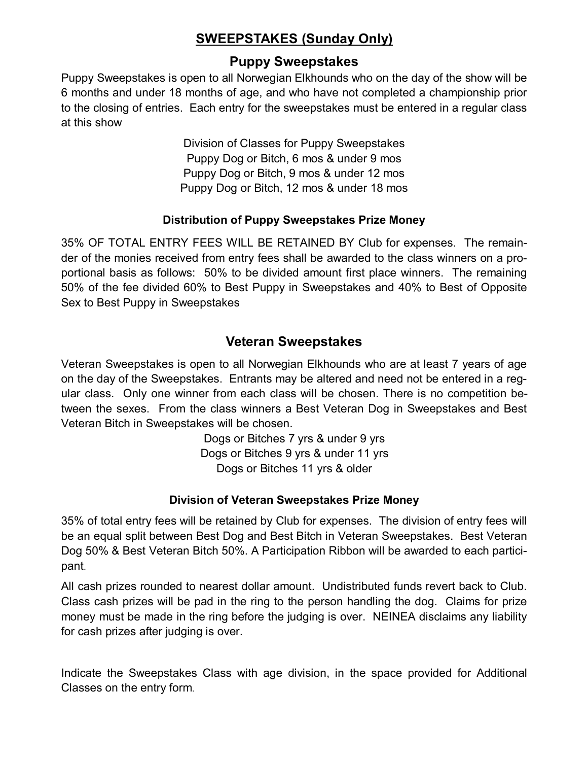### **SWEEPSTAKES (Sunday Only)**

#### **Puppy Sweepstakes**

Puppy Sweepstakes is open to all Norwegian Elkhounds who on the day of the show will be 6 months and under 18 months of age, and who have not completed a championship prior to the closing of entries. Each entry for the sweepstakes must be entered in a regular class at this show

> Division of Classes for Puppy Sweepstakes Puppy Dog or Bitch, 6 mos & under 9 mos Puppy Dog or Bitch, 9 mos & under 12 mos Puppy Dog or Bitch, 12 mos & under 18 mos

#### **Distribution of Puppy Sweepstakes Prize Money**

35% OF TOTAL ENTRY FEES WILL BE RETAINED BY Club for expenses. The remainder of the monies received from entry fees shall be awarded to the class winners on a proportional basis as follows: 50% to be divided amount first place winners. The remaining 50% of the fee divided 60% to Best Puppy in Sweepstakes and 40% to Best of Opposite Sex to Best Puppy in Sweepstakes

#### **Veteran Sweepstakes**

Veteran Sweepstakes is open to all Norwegian Elkhounds who are at least 7 years of age on the day of the Sweepstakes. Entrants may be altered and need not be entered in a regular class. Only one winner from each class will be chosen. There is no competition between the sexes. From the class winners a Best Veteran Dog in Sweepstakes and Best Veteran Bitch in Sweepstakes will be chosen.

> Dogs or Bitches 7 yrs & under 9 yrs Dogs or Bitches 9 yrs & under 11 yrs Dogs or Bitches 11 yrs & older

#### **Division of Veteran Sweepstakes Prize Money**

35% of total entry fees will be retained by Club for expenses. The division of entry fees will be an equal split between Best Dog and Best Bitch in Veteran Sweepstakes. Best Veteran Dog 50% & Best Veteran Bitch 50%. A Participation Ribbon will be awarded to each participant.

All cash prizes rounded to nearest dollar amount. Undistributed funds revert back to Club. Class cash prizes will be pad in the ring to the person handling the dog. Claims for prize money must be made in the ring before the judging is over. NEINEA disclaims any liability for cash prizes after judging is over.

Indicate the Sweepstakes Class with age division, in the space provided for Additional Classes on the entry form.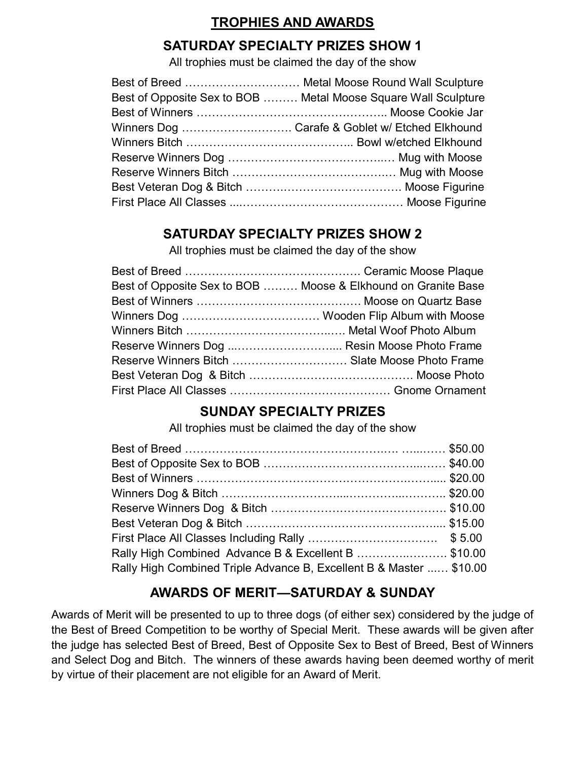### **TROPHIES AND AWARDS**

#### **SATURDAY SPECIALTY PRIZES SHOW 1**

All trophies must be claimed the day of the show

| Best of Opposite Sex to BOB  Metal Moose Square Wall Sculpture |
|----------------------------------------------------------------|
|                                                                |
| Winners Dog  Carafe & Goblet w/ Etched Elkhound                |
|                                                                |
|                                                                |
|                                                                |
|                                                                |
|                                                                |

### **SATURDAY SPECIALTY PRIZES SHOW 2**

All trophies must be claimed the day of the show

|                                              | Best of Opposite Sex to BOB  Moose & Elkhound on Granite Base |
|----------------------------------------------|---------------------------------------------------------------|
|                                              |                                                               |
|                                              |                                                               |
|                                              |                                                               |
| Reserve Winners Dog  Resin Moose Photo Frame |                                                               |
|                                              | Reserve Winners Bitch  Slate Moose Photo Frame                |
|                                              |                                                               |
|                                              |                                                               |

### **SUNDAY SPECIALTY PRIZES**

All trophies must be claimed the day of the show

| Rally High Combined Advance B & Excellent B \$10.00                 |  |
|---------------------------------------------------------------------|--|
| Rally High Combined Triple Advance B, Excellent B & Master  \$10.00 |  |

### **AWARDS OF MERIT—SATURDAY & SUNDAY**

Awards of Merit will be presented to up to three dogs (of either sex) considered by the judge of the Best of Breed Competition to be worthy of Special Merit. These awards will be given after the judge has selected Best of Breed, Best of Opposite Sex to Best of Breed, Best of Winners and Select Dog and Bitch. The winners of these awards having been deemed worthy of merit by virtue of their placement are not eligible for an Award of Merit.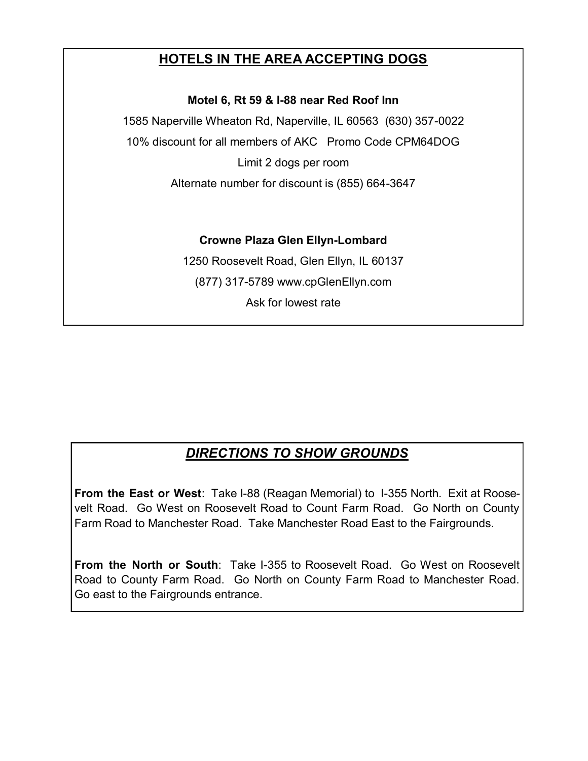### **HOTELS IN THE AREA ACCEPTING DOGS**

**Motel 6, Rt 59 & I-88 near Red Roof Inn**

1585 Naperville Wheaton Rd, Naperville, IL 60563 (630) 357-0022 10% discount for all members of AKC Promo Code CPM64DOG Limit 2 dogs per room

Alternate number for discount is (855) 664-3647

#### **Crowne Plaza Glen Ellyn-Lombard**

1250 Roosevelt Road, Glen Ellyn, IL 60137 (877) 317-5789 www.cpGlenEllyn.com Ask for lowest rate

### *DIRECTIONS TO SHOW GROUNDS*

**From the East or West**: Take I-88 (Reagan Memorial) to 1-355 North. Exit at Roosevelt Road. Go West on Roosevelt Road to Count Farm Road. Go North on County Farm Road to Manchester Road. Take Manchester Road East to the Fairgrounds.

**From the North or South**: Take I-355 to Roosevelt Road. Go West on Roosevelt Road to County Farm Road. Go North on County Farm Road to Manchester Road. Go east to the Fairgrounds entrance.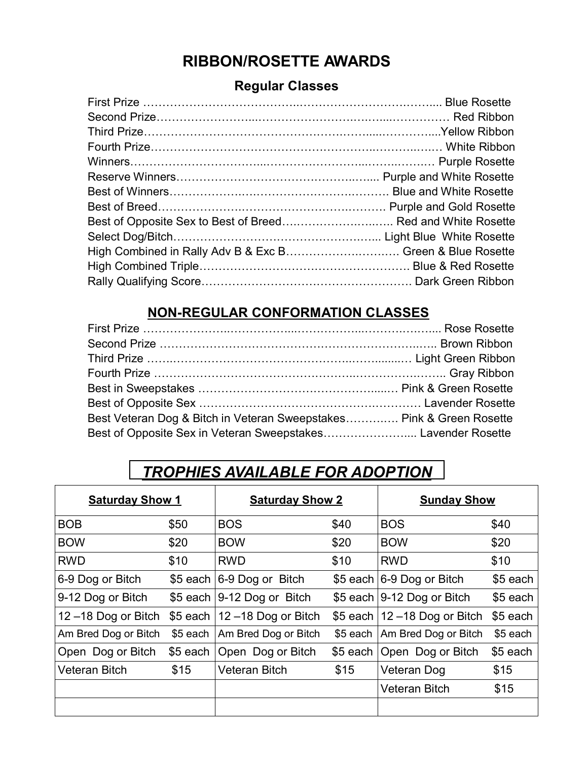## **RIBBON/ROSETTE AWARDS**

#### **Regular Classes**

| Best of Opposite Sex to Best of Breed Red and White Rosette |  |
|-------------------------------------------------------------|--|
|                                                             |  |
| High Combined in Rally Adv B & Exc B Green & Blue Rosette   |  |
|                                                             |  |
|                                                             |  |

### **NON-REGULAR CONFORMATION CLASSES**

| Best Veteran Dog & Bitch in Veteran Sweepstakes Pink & Green Rosette |  |
|----------------------------------------------------------------------|--|
| Best of Opposite Sex in Veteran Sweepstakes Lavender Rosette         |  |

## *TROPHIES AVAILABLE FOR ADOPTION*

| <b>Saturday Show 1</b> |          | <b>Saturday Show 2</b>                  |           | <b>Sunday Show</b>               |           |
|------------------------|----------|-----------------------------------------|-----------|----------------------------------|-----------|
| <b>BOB</b>             | \$50     | <b>BOS</b>                              | \$40      | <b>BOS</b>                       | \$40      |
| <b>BOW</b>             | \$20     | <b>BOW</b>                              | \$20      | <b>BOW</b>                       | \$20      |
| <b>RWD</b>             | \$10     | <b>RWD</b>                              | \$10      | <b>RWD</b>                       | \$10      |
| 6-9 Dog or Bitch       |          | $$5$ each $ 6-9$ Dog or<br><b>Bitch</b> |           | \$5 each 6-9 Dog or Bitch        | \$5 each  |
| 9-12 Dog or Bitch      |          | \$5 each $ 9-12$ Dog or Bitch           |           | \$5 each   9-12 Dog or Bitch     | \$5 each  |
| $12 - 18$ Dog or Bitch |          | \$5 each $ 12 - 18$ Dog or Bitch        |           | \$5 each $ 12 - 18$ Dog or Bitch | $$5$ each |
| Am Bred Dog or Bitch   | \$5 each | Am Bred Dog or Bitch                    | $$5$ each | Am Bred Dog or Bitch             | \$5 each  |
| Open Dog or Bitch      | \$5 each | Open Dog or Bitch                       |           | \$5 each   Open Dog or Bitch     | \$5 each  |
| <b>Veteran Bitch</b>   | \$15     | <b>Veteran Bitch</b>                    | \$15      | Veteran Dog                      | \$15      |
|                        |          |                                         |           | Veteran Bitch                    | \$15      |
|                        |          |                                         |           |                                  |           |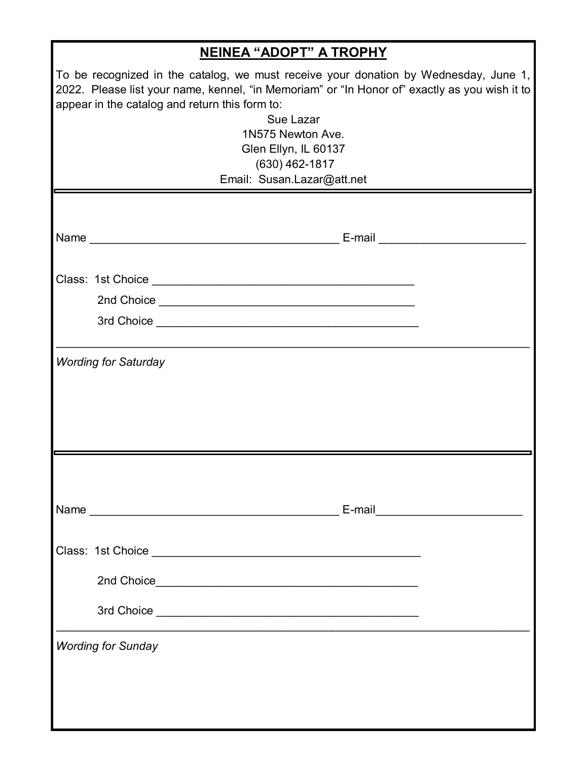| <b>NEINEA "ADOPT" A TROPHY</b>                                                                                                                                                                                                                                                                                      |  |  |  |  |
|---------------------------------------------------------------------------------------------------------------------------------------------------------------------------------------------------------------------------------------------------------------------------------------------------------------------|--|--|--|--|
| To be recognized in the catalog, we must receive your donation by Wednesday, June 1,<br>2022. Please list your name, kennel, "in Memoriam" or "In Honor of" exactly as you wish it to<br>appear in the catalog and return this form to:<br>Sue Lazar<br>1N575 Newton Ave.<br>Glen Ellyn, IL 60137<br>(630) 462-1817 |  |  |  |  |
| Email: Susan.Lazar@att.net                                                                                                                                                                                                                                                                                          |  |  |  |  |
|                                                                                                                                                                                                                                                                                                                     |  |  |  |  |
|                                                                                                                                                                                                                                                                                                                     |  |  |  |  |
|                                                                                                                                                                                                                                                                                                                     |  |  |  |  |
|                                                                                                                                                                                                                                                                                                                     |  |  |  |  |
|                                                                                                                                                                                                                                                                                                                     |  |  |  |  |
| <b>Wording for Saturday</b>                                                                                                                                                                                                                                                                                         |  |  |  |  |
|                                                                                                                                                                                                                                                                                                                     |  |  |  |  |
|                                                                                                                                                                                                                                                                                                                     |  |  |  |  |
|                                                                                                                                                                                                                                                                                                                     |  |  |  |  |
|                                                                                                                                                                                                                                                                                                                     |  |  |  |  |
|                                                                                                                                                                                                                                                                                                                     |  |  |  |  |
|                                                                                                                                                                                                                                                                                                                     |  |  |  |  |
|                                                                                                                                                                                                                                                                                                                     |  |  |  |  |
|                                                                                                                                                                                                                                                                                                                     |  |  |  |  |
| <b>Wording for Sunday</b>                                                                                                                                                                                                                                                                                           |  |  |  |  |
|                                                                                                                                                                                                                                                                                                                     |  |  |  |  |
|                                                                                                                                                                                                                                                                                                                     |  |  |  |  |
|                                                                                                                                                                                                                                                                                                                     |  |  |  |  |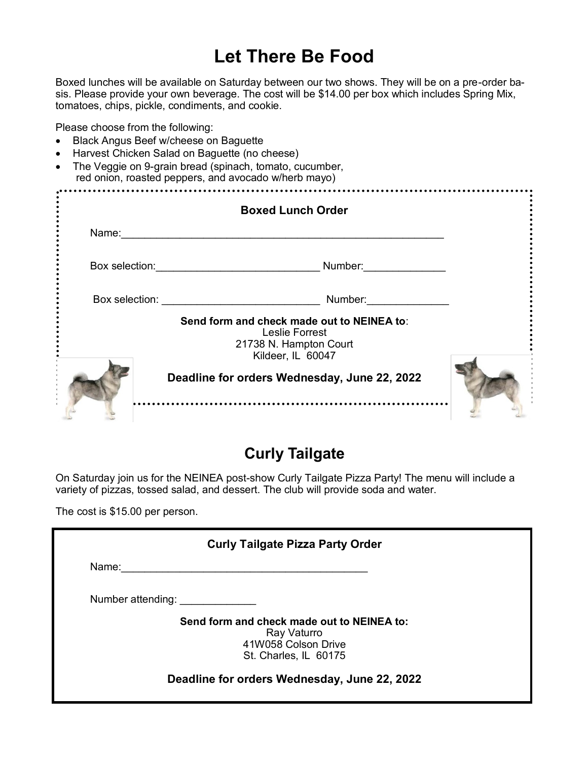# **Let There Be Food**

Boxed lunches will be available on Saturday between our two shows. They will be on a pre-order basis. Please provide your own beverage. The cost will be \$14.00 per box which includes Spring Mix, tomatoes, chips, pickle, condiments, and cookie.

Please choose from the following:

- Black Angus Beef w/cheese on Baguette
- Harvest Chicken Salad on Baguette (no cheese)
- The Veggie on 9-grain bread (spinach, tomato, cucumber, red onion, roasted peppers, and avocado w/herb mayo)

|                | <b>Boxed Lunch Order</b>                                                                                           |  |
|----------------|--------------------------------------------------------------------------------------------------------------------|--|
| Name:          |                                                                                                                    |  |
| Box selection: | Number:                                                                                                            |  |
|                | Box selection: <u>___________________</u><br>Number:                                                               |  |
|                | Send form and check made out to NEINEA to:<br><b>Leslie Forrest</b><br>21738 N. Hampton Court<br>Kildeer, IL 60047 |  |
|                | Deadline for orders Wednesday, June 22, 2022<br>                                                                   |  |

### **Curly Tailgate**

On Saturday join us for the NEINEA post-show Curly Tailgate Pizza Party! The menu will include a variety of pizzas, tossed salad, and dessert. The club will provide soda and water.

The cost is \$15.00 per person.

| <b>Curly Tailgate Pizza Party Order</b> |                                                                                                           |  |  |
|-----------------------------------------|-----------------------------------------------------------------------------------------------------------|--|--|
| Name:                                   |                                                                                                           |  |  |
| Number attending:                       |                                                                                                           |  |  |
|                                         | Send form and check made out to NEINEA to:<br>Ray Vaturro<br>41W058 Colson Drive<br>St. Charles, IL 60175 |  |  |
|                                         | Deadline for orders Wednesday, June 22, 2022                                                              |  |  |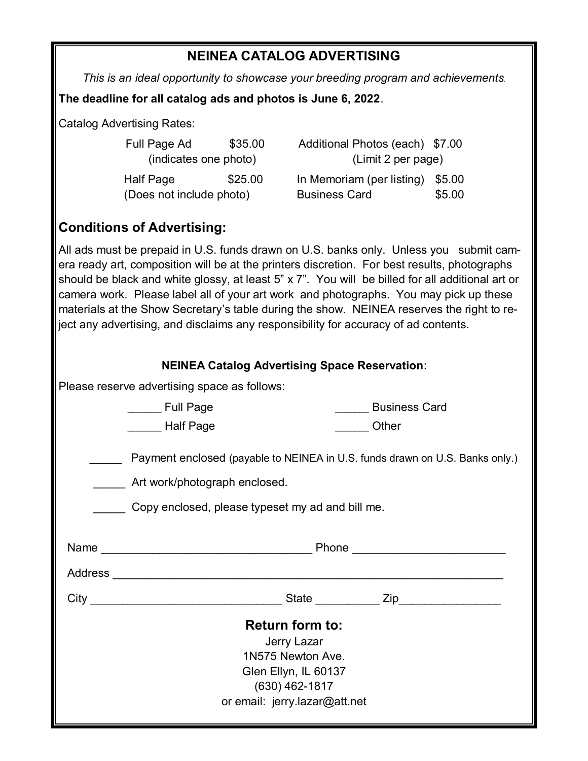#### **NEINEA CATALOG ADVERTISING**

*This is an ideal opportunity to showcase your breeding program and achievements.*

**The deadline for all catalog ads and photos is June 6, 2022**.

Catalog Advertising Rates:

| Full Page Ad             | \$35.00 | Additional Photos (each) \$7.00 |        |  |
|--------------------------|---------|---------------------------------|--------|--|
| (indicates one photo)    |         | (Limit 2 per page)              |        |  |
| Half Page                | \$25.00 | In Memoriam (per listing)       | \$5.00 |  |
| (Does not include photo) |         | <b>Business Card</b>            | \$5.00 |  |

#### **Conditions of Advertising:**

All ads must be prepaid in U.S. funds drawn on U.S. banks only. Unless you submit camera ready art, composition will be at the printers discretion. For best results, photographs should be black and white glossy, at least 5" x 7". You will be billed for all additional art or camera work. Please label all of your art work and photographs. You may pick up these materials at the Show Secretary's table during the show. NEINEA reserves the right to reject any advertising, and disclaims any responsibility for accuracy of ad contents.

|  |  | <b>NEINEA Catalog Advertising Space Reservation:</b> |
|--|--|------------------------------------------------------|
|  |  |                                                      |

Please reserve advertising space as follows:

|                                                                                                                                                                   | <b>Full Page</b><br>Half Page |  | <b>Business Card</b><br>Other |  |  |  |
|-------------------------------------------------------------------------------------------------------------------------------------------------------------------|-------------------------------|--|-------------------------------|--|--|--|
| Payment enclosed (payable to NEINEA in U.S. funds drawn on U.S. Banks only.)<br>Art work/photograph enclosed.<br>Copy enclosed, please typeset my ad and bill me. |                               |  |                               |  |  |  |
|                                                                                                                                                                   |                               |  |                               |  |  |  |
|                                                                                                                                                                   |                               |  | State <b>Zip Zip</b>          |  |  |  |
| <b>Return form to:</b><br>Jerry Lazar<br>1N575 Newton Ave.<br>Glen Ellyn, IL 60137<br>$(630)$ 462-1817<br>or email: jerry.lazar@att.net                           |                               |  |                               |  |  |  |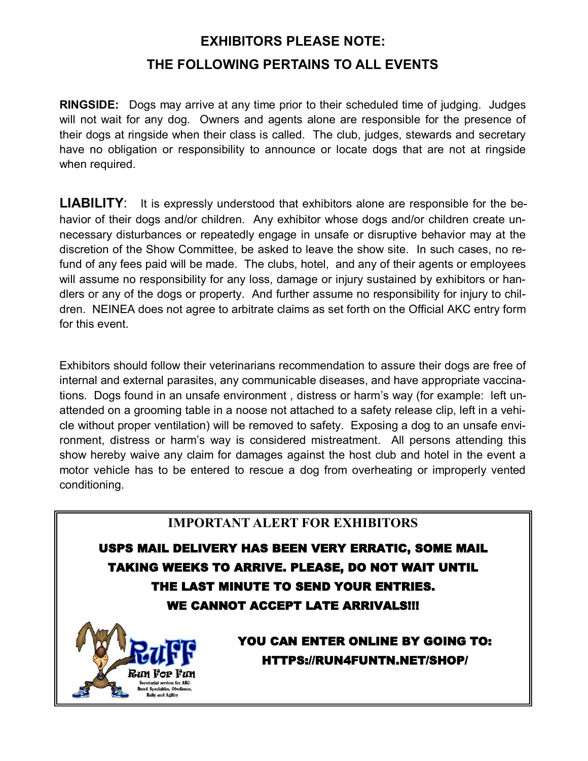## **EXHIBITORS PLEASE NOTE: THE FOLLOWING PERTAINS TO ALL EVENTS**

**RINGSIDE:** Dogs may arrive at any time prior to their scheduled time of judging. Judges will not wait for any dog. Owners and agents alone are responsible for the presence of their dogs at ringside when their class is called. The club, judges, stewards and secretary have no obligation or responsibility to announce or locate dogs that are not at ringside when required.

**LIABILITY**: It is expressly understood that exhibitors alone are responsible for the behavior of their dogs and/or children. Any exhibitor whose dogs and/or children create unnecessary disturbances or repeatedly engage in unsafe or disruptive behavior may at the discretion of the Show Committee, be asked to leave the show site. In such cases, no refund of any fees paid will be made. The clubs, hotel, and any of their agents or employees will assume no responsibility for any loss, damage or injury sustained by exhibitors or handlers or any of the dogs or property. And further assume no responsibility for injury to children. NEINEA does not agree to arbitrate claims as set forth on the Official AKC entry form for this event.

Exhibitors should follow their veterinarians recommendation to assure their dogs are free of internal and external parasites, any communicable diseases, and have appropriate vaccinations. Dogs found in an unsafe environment , distress or harm's way (for example: left unattended on a grooming table in a noose not attached to a safety release clip, left in a vehicle without proper ventilation) will be removed to safety. Exposing a dog to an unsafe environment, distress or harm's way is considered mistreatment. All persons attending this show hereby waive any claim for damages against the host club and hotel in the event a motor vehicle has to be entered to rescue a dog from overheating or improperly vented conditioning.

### **IMPORTANT ALERT FOR EXHIBITORS**

USPS MAIL DELIVERY HAS BEEN VERY ERRATIC, SOME MAIL TAKING WEEKS TO ARRIVE. PLEASE, DO NOT WAIT UNTIL THE LAST MINUTE TO SEND YOUR ENTRIES. WE CANNOT ACCEPT LATE ARRIVALS!!!



YOU CAN ENTER ONLINE BY GOING TO: HTTPS://RUN4FUNTN.NET/SHOP/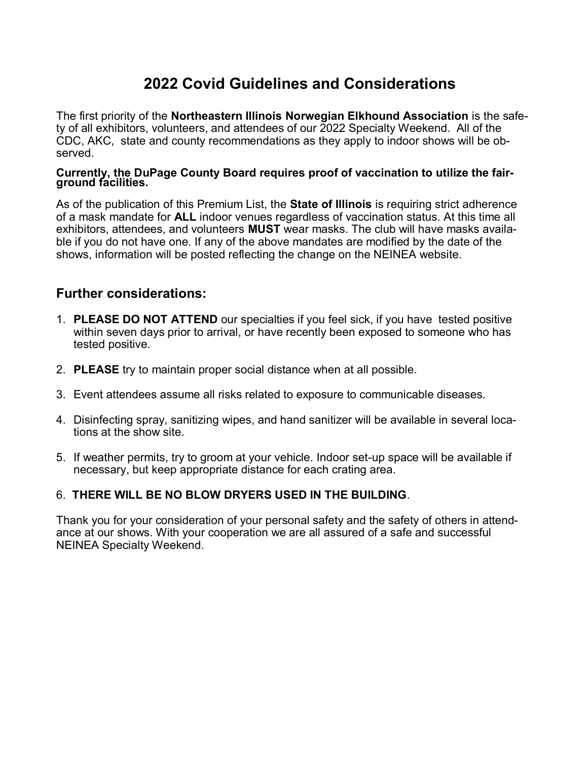## **2022 Covid Guidelines and Considerations**

The first priority of the **Northeastern Illinois Norwegian Elkhound Association** is the safety of all exhibitors, volunteers, and attendees of our 2022 Specialty Weekend. All of the CDC, AKC, state and county recommendations as they apply to indoor shows will be observed.

#### **Currently, the DuPage County Board requires proof of vaccination to utilize the fairground facilities.**

As of the publication of this Premium List, the **State of Illinois** is requiring strict adherence of a mask mandate for **ALL** indoor venues regardless of vaccination status. At this time all exhibitors, attendees, and volunteers **MUST** wear masks. The club will have masks available if you do not have one. If any of the above mandates are modified by the date of the shows, information will be posted reflecting the change on the NEINEA website.

#### **Further considerations:**

- 1. **PLEASE DO NOT ATTEND** our specialties if you feel sick, if you have tested positive within seven days prior to arrival, or have recently been exposed to someone who has tested positive.
- 2. **PLEASE** try to maintain proper social distance when at all possible.
- 3. Event attendees assume all risks related to exposure to communicable diseases.
- 4. Disinfecting spray, sanitizing wipes, and hand sanitizer will be available in several locations at the show site.
- 5. If weather permits, try to groom at your vehicle. Indoor set-up space will be available if necessary, but keep appropriate distance for each crating area.

#### 6. **THERE WILL BE NO BLOW DRYERS USED IN THE BUILDING**.

Thank you for your consideration of your personal safety and the safety of others in attendance at our shows. With your cooperation we are all assured of a safe and successful NEINEA Specialty Weekend.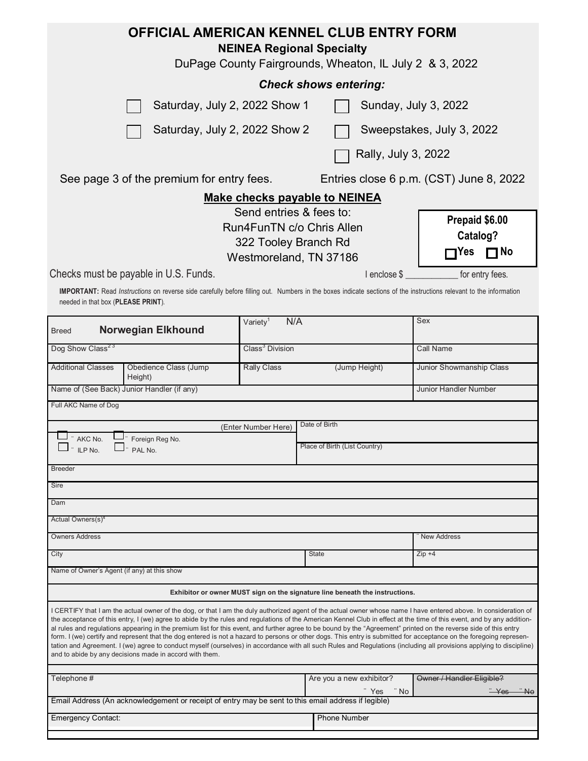| <b>OFFICIAL AMERICAN KENNEL CLUB ENTRY FORM</b><br><b>NEINEA Regional Specialty</b><br>DuPage County Fairgrounds, Wheaton, IL July 2 & 3, 2022                                                                                                                                                                                                                                                                                                                                                                                                                                                                                                                                                                                                                                                                                                                                                                            |                                                |                                          |                                            |  |  |  |  |  |  |
|---------------------------------------------------------------------------------------------------------------------------------------------------------------------------------------------------------------------------------------------------------------------------------------------------------------------------------------------------------------------------------------------------------------------------------------------------------------------------------------------------------------------------------------------------------------------------------------------------------------------------------------------------------------------------------------------------------------------------------------------------------------------------------------------------------------------------------------------------------------------------------------------------------------------------|------------------------------------------------|------------------------------------------|--------------------------------------------|--|--|--|--|--|--|
| <b>Check shows entering:</b>                                                                                                                                                                                                                                                                                                                                                                                                                                                                                                                                                                                                                                                                                                                                                                                                                                                                                              |                                                |                                          |                                            |  |  |  |  |  |  |
| Saturday, July 2, 2022 Show 1<br>Sunday, July 3, 2022                                                                                                                                                                                                                                                                                                                                                                                                                                                                                                                                                                                                                                                                                                                                                                                                                                                                     |                                                |                                          |                                            |  |  |  |  |  |  |
| Saturday, July 2, 2022 Show 2                                                                                                                                                                                                                                                                                                                                                                                                                                                                                                                                                                                                                                                                                                                                                                                                                                                                                             | Sweepstakes, July 3, 2022                      |                                          |                                            |  |  |  |  |  |  |
| Rally, July 3, 2022                                                                                                                                                                                                                                                                                                                                                                                                                                                                                                                                                                                                                                                                                                                                                                                                                                                                                                       |                                                |                                          |                                            |  |  |  |  |  |  |
| See page 3 of the premium for entry fees.<br>Entries close 6 p.m. (CST) June 8, 2022                                                                                                                                                                                                                                                                                                                                                                                                                                                                                                                                                                                                                                                                                                                                                                                                                                      |                                                |                                          |                                            |  |  |  |  |  |  |
|                                                                                                                                                                                                                                                                                                                                                                                                                                                                                                                                                                                                                                                                                                                                                                                                                                                                                                                           |                                                | <b>Make checks payable to NEINEA</b>     |                                            |  |  |  |  |  |  |
| Send entries & fees to:<br>Run4FunTN c/o Chris Allen<br>322 Tooley Branch Rd<br>Westmoreland, TN 37186                                                                                                                                                                                                                                                                                                                                                                                                                                                                                                                                                                                                                                                                                                                                                                                                                    | Prepaid \$6.00<br>Catalog?<br><b>No</b><br>Yes |                                          |                                            |  |  |  |  |  |  |
| Checks must be payable in U.S. Funds.<br>I enclose \$<br>for entry fees.<br>IMPORTANT: Read Instructions on reverse side carefully before filling out. Numbers in the boxes indicate sections of the instructions relevant to the information<br>needed in that box (PLEASE PRINT).                                                                                                                                                                                                                                                                                                                                                                                                                                                                                                                                                                                                                                       |                                                |                                          |                                            |  |  |  |  |  |  |
| <b>Norwegian Elkhound</b><br><b>Breed</b>                                                                                                                                                                                                                                                                                                                                                                                                                                                                                                                                                                                                                                                                                                                                                                                                                                                                                 | N/A<br>Variety <sup>1</sup>                    |                                          | Sex                                        |  |  |  |  |  |  |
| Dog Show Class <sup>23</sup>                                                                                                                                                                                                                                                                                                                                                                                                                                                                                                                                                                                                                                                                                                                                                                                                                                                                                              | Class <sup>3</sup> Division                    |                                          | Call Name                                  |  |  |  |  |  |  |
| <b>Additional Classes</b><br>Obedience Class (Jump<br>Height)                                                                                                                                                                                                                                                                                                                                                                                                                                                                                                                                                                                                                                                                                                                                                                                                                                                             | <b>Rally Class</b>                             | (Jump Height)                            | Junior Showmanship Class                   |  |  |  |  |  |  |
| Name of (See Back) Junior Handler (if any)                                                                                                                                                                                                                                                                                                                                                                                                                                                                                                                                                                                                                                                                                                                                                                                                                                                                                |                                                |                                          | <b>Junior Handler Number</b>               |  |  |  |  |  |  |
| Full AKC Name of Dog                                                                                                                                                                                                                                                                                                                                                                                                                                                                                                                                                                                                                                                                                                                                                                                                                                                                                                      |                                                |                                          |                                            |  |  |  |  |  |  |
|                                                                                                                                                                                                                                                                                                                                                                                                                                                                                                                                                                                                                                                                                                                                                                                                                                                                                                                           | (Enter Number Here)                            | Date of Birth                            |                                            |  |  |  |  |  |  |
| AKC No.<br>Foreign Reg No.<br>ILP No.<br>PAL No.                                                                                                                                                                                                                                                                                                                                                                                                                                                                                                                                                                                                                                                                                                                                                                                                                                                                          |                                                | Place of Birth (List Country)            |                                            |  |  |  |  |  |  |
| <b>Breeder</b>                                                                                                                                                                                                                                                                                                                                                                                                                                                                                                                                                                                                                                                                                                                                                                                                                                                                                                            |                                                |                                          |                                            |  |  |  |  |  |  |
| Sire                                                                                                                                                                                                                                                                                                                                                                                                                                                                                                                                                                                                                                                                                                                                                                                                                                                                                                                      |                                                |                                          |                                            |  |  |  |  |  |  |
| Dam                                                                                                                                                                                                                                                                                                                                                                                                                                                                                                                                                                                                                                                                                                                                                                                                                                                                                                                       |                                                |                                          |                                            |  |  |  |  |  |  |
| Actual Owners(s) <sup>4</sup>                                                                                                                                                                                                                                                                                                                                                                                                                                                                                                                                                                                                                                                                                                                                                                                                                                                                                             |                                                |                                          |                                            |  |  |  |  |  |  |
| <b>Owners Address</b>                                                                                                                                                                                                                                                                                                                                                                                                                                                                                                                                                                                                                                                                                                                                                                                                                                                                                                     |                                                |                                          | <b>New Address</b>                         |  |  |  |  |  |  |
| City                                                                                                                                                                                                                                                                                                                                                                                                                                                                                                                                                                                                                                                                                                                                                                                                                                                                                                                      |                                                | <b>State</b>                             | $Zip +4$                                   |  |  |  |  |  |  |
| Name of Owner's Agent (if any) at this show                                                                                                                                                                                                                                                                                                                                                                                                                                                                                                                                                                                                                                                                                                                                                                                                                                                                               |                                                |                                          |                                            |  |  |  |  |  |  |
| Exhibitor or owner MUST sign on the signature line beneath the instructions.                                                                                                                                                                                                                                                                                                                                                                                                                                                                                                                                                                                                                                                                                                                                                                                                                                              |                                                |                                          |                                            |  |  |  |  |  |  |
| I CERTIFY that I am the actual owner of the dog, or that I am the duly authorized agent of the actual owner whose name I have entered above. In consideration of<br>the acceptance of this entry, I (we) agree to abide by the rules and regulations of the American Kennel Club in effect at the time of this event, and by any addition-<br>al rules and regulations appearing in the premium list for this event, and further agree to be bound by the "Agreement" printed on the reverse side of this entry<br>form. I (we) certify and represent that the dog entered is not a hazard to persons or other dogs. This entry is submitted for acceptance on the foregoing represen-<br>tation and Agreement. I (we) agree to conduct myself (ourselves) in accordance with all such Rules and Regulations (including all provisions applying to discipline)<br>and to abide by any decisions made in accord with them. |                                                |                                          |                                            |  |  |  |  |  |  |
| Telephone #                                                                                                                                                                                                                                                                                                                                                                                                                                                                                                                                                                                                                                                                                                                                                                                                                                                                                                               |                                                | Are you a new exhibitor?<br>" No<br>"Yes | Owner / Handler Eligible?<br><del>N٥</del> |  |  |  |  |  |  |
| Email Address (An acknowledgement or receipt of entry may be sent to this email address if legible)                                                                                                                                                                                                                                                                                                                                                                                                                                                                                                                                                                                                                                                                                                                                                                                                                       |                                                |                                          |                                            |  |  |  |  |  |  |
| <b>Phone Number</b><br><b>Emergency Contact:</b>                                                                                                                                                                                                                                                                                                                                                                                                                                                                                                                                                                                                                                                                                                                                                                                                                                                                          |                                                |                                          |                                            |  |  |  |  |  |  |
|                                                                                                                                                                                                                                                                                                                                                                                                                                                                                                                                                                                                                                                                                                                                                                                                                                                                                                                           |                                                |                                          |                                            |  |  |  |  |  |  |